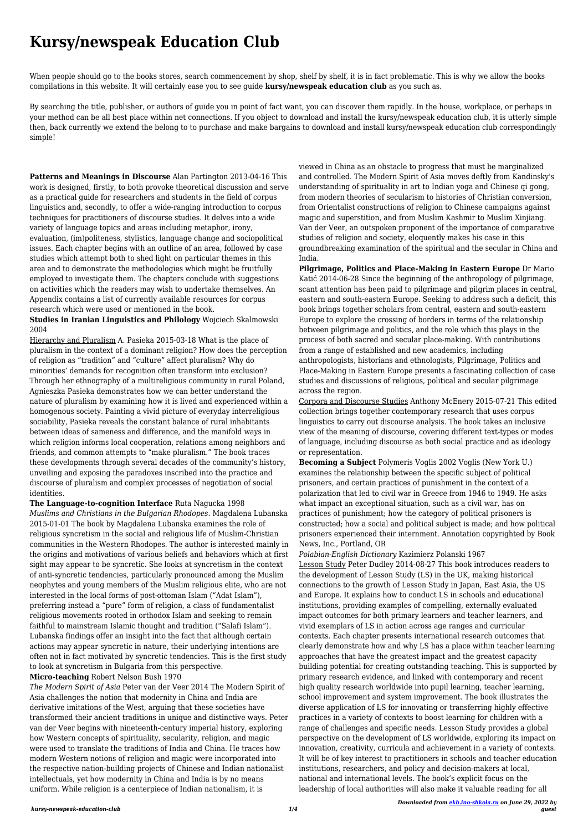## **Kursy/newspeak Education Club**

When people should go to the books stores, search commencement by shop, shelf by shelf, it is in fact problematic. This is why we allow the books compilations in this website. It will certainly ease you to see guide **kursy/newspeak education club** as you such as.

By searching the title, publisher, or authors of guide you in point of fact want, you can discover them rapidly. In the house, workplace, or perhaps in your method can be all best place within net connections. If you object to download and install the kursy/newspeak education club, it is utterly simple then, back currently we extend the belong to to purchase and make bargains to download and install kursy/newspeak education club correspondingly simple!

**Patterns and Meanings in Discourse** Alan Partington 2013-04-16 This work is designed, firstly, to both provoke theoretical discussion and serve as a practical guide for researchers and students in the field of corpus linguistics and, secondly, to offer a wide-ranging introduction to corpus techniques for practitioners of discourse studies. It delves into a wide variety of language topics and areas including metaphor, irony, evaluation, (im)politeness, stylistics, language change and sociopolitical issues. Each chapter begins with an outline of an area, followed by case studies which attempt both to shed light on particular themes in this area and to demonstrate the methodologies which might be fruitfully employed to investigate them. The chapters conclude with suggestions on activities which the readers may wish to undertake themselves. An Appendix contains a list of currently available resources for corpus research which were used or mentioned in the book.

**Studies in Iranian Linguistics and Philology** Wojciech Skalmowski 2004

Hierarchy and Pluralism A. Pasieka 2015-03-18 What is the place of pluralism in the context of a dominant religion? How does the perception of religion as "tradition" and "culture" affect pluralism? Why do minorities' demands for recognition often transform into exclusion? Through her ethnography of a multireligious community in rural Poland, Agnieszka Pasieka demonstrates how we can better understand the nature of pluralism by examining how it is lived and experienced within a homogenous society. Painting a vivid picture of everyday interreligious sociability, Pasieka reveals the constant balance of rural inhabitants between ideas of sameness and difference, and the manifold ways in which religion informs local cooperation, relations among neighbors and friends, and common attempts to "make pluralism." The book traces these developments through several decades of the community's history, unveiling and exposing the paradoxes inscribed into the practice and discourse of pluralism and complex processes of negotiation of social identities.

**The Language-to-cognition Interface** Ruta Nagucka 1998 *Muslims and Christians in the Bulgarian Rhodopes.* Magdalena Lubanska 2015-01-01 The book by Magdalena Lubanska examines the role of religious syncretism in the social and religious life of Muslim-Christian communities in the Western Rhodopes. The author is interested mainly in the origins and motivations of various beliefs and behaviors which at first sight may appear to be syncretic. She looks at syncretism in the context of anti-syncretic tendencies, particularly pronounced among the Muslim neophytes and young members of the Muslim religious elite, who are not interested in the local forms of post-ottoman Islam ("Adat Islam"), preferring instead a "pure" form of religion, a class of fundamentalist religious movements rooted in orthodox Islam and seeking to remain faithful to mainstream Islamic thought and tradition ("Salafi Islam"). Lubanska findings offer an insight into the fact that although certain actions may appear syncretic in nature, their underlying intentions are often not in fact motivated by syncretic tendencies. This is the first study to look at syncretism in Bulgaria from this perspective.

**Micro-teaching** Robert Nelson Bush 1970

*The Modern Spirit of Asia* Peter van der Veer 2014 The Modern Spirit of Asia challenges the notion that modernity in China and India are derivative imitations of the West, arguing that these societies have transformed their ancient traditions in unique and distinctive ways. Peter van der Veer begins with nineteenth-century imperial history, exploring how Western concepts of spirituality, secularity, religion, and magic were used to translate the traditions of India and China. He traces how modern Western notions of religion and magic were incorporated into the respective nation-building projects of Chinese and Indian nationalist intellectuals, yet how modernity in China and India is by no means uniform. While religion is a centerpiece of Indian nationalism, it is

viewed in China as an obstacle to progress that must be marginalized and controlled. The Modern Spirit of Asia moves deftly from Kandinsky's understanding of spirituality in art to Indian yoga and Chinese qi gong, from modern theories of secularism to histories of Christian conversion, from Orientalist constructions of religion to Chinese campaigns against magic and superstition, and from Muslim Kashmir to Muslim Xinjiang. Van der Veer, an outspoken proponent of the importance of comparative studies of religion and society, eloquently makes his case in this groundbreaking examination of the spiritual and the secular in China and India.

**Pilgrimage, Politics and Place-Making in Eastern Europe** Dr Mario Katić 2014-06-28 Since the beginning of the anthropology of pilgrimage, scant attention has been paid to pilgrimage and pilgrim places in central, eastern and south-eastern Europe. Seeking to address such a deficit, this book brings together scholars from central, eastern and south-eastern Europe to explore the crossing of borders in terms of the relationship between pilgrimage and politics, and the role which this plays in the process of both sacred and secular place-making. With contributions from a range of established and new academics, including anthropologists, historians and ethnologists, Pilgrimage, Politics and Place-Making in Eastern Europe presents a fascinating collection of case studies and discussions of religious, political and secular pilgrimage across the region.

Corpora and Discourse Studies Anthony McEnery 2015-07-21 This edited collection brings together contemporary research that uses corpus linguistics to carry out discourse analysis. The book takes an inclusive view of the meaning of discourse, covering different text-types or modes of language, including discourse as both social practice and as ideology or representation.

**Becoming a Subject** Polymeris Voglis 2002 Voglis (New York U.) examines the relationship between the specific subject of political prisoners, and certain practices of punishment in the context of a polarization that led to civil war in Greece from 1946 to 1949. He asks what impact an exceptional situation, such as a civil war, has on practices of punishment; how the category of political prisoners is constructed; how a social and political subject is made; and how political prisoners experienced their internment. Annotation copyrighted by Book News, Inc., Portland, OR

*Polabian-English Dictionary* Kazimierz Polanski 1967 Lesson Study Peter Dudley 2014-08-27 This book introduces readers to the development of Lesson Study (LS) in the UK, making historical connections to the growth of Lesson Study in Japan, East Asia, the US and Europe. It explains how to conduct LS in schools and educational institutions, providing examples of compelling, externally evaluated impact outcomes for both primary learners and teacher learners, and vivid exemplars of LS in action across age ranges and curricular contexts. Each chapter presents international research outcomes that clearly demonstrate how and why LS has a place within teacher learning approaches that have the greatest impact and the greatest capacity building potential for creating outstanding teaching. This is supported by primary research evidence, and linked with contemporary and recent high quality research worldwide into pupil learning, teacher learning, school improvement and system improvement. The book illustrates the diverse application of LS for innovating or transferring highly effective practices in a variety of contexts to boost learning for children with a range of challenges and specific needs. Lesson Study provides a global perspective on the development of LS worldwide, exploring its impact on innovation, creativity, curricula and achievement in a variety of contexts. It will be of key interest to practitioners in schools and teacher education institutions, researchers, and policy and decision-makers at local, national and international levels. The book's explicit focus on the leadership of local authorities will also make it valuable reading for all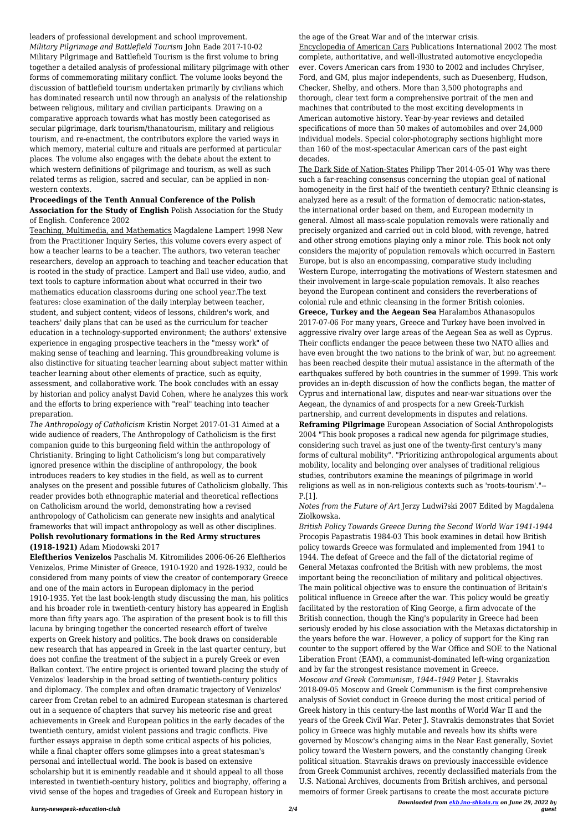leaders of professional development and school improvement. *Military Pilgrimage and Battlefield Tourism* John Eade 2017-10-02 Military Pilgrimage and Battlefield Tourism is the first volume to bring together a detailed analysis of professional military pilgrimage with other forms of commemorating military conflict. The volume looks beyond the discussion of battlefield tourism undertaken primarily by civilians which has dominated research until now through an analysis of the relationship between religious, military and civilian participants. Drawing on a comparative approach towards what has mostly been categorised as secular pilgrimage, dark tourism/thanatourism, military and religious tourism, and re-enactment, the contributors explore the varied ways in which memory, material culture and rituals are performed at particular places. The volume also engages with the debate about the extent to which western definitions of pilgrimage and tourism, as well as such related terms as religion, sacred and secular, can be applied in nonwestern contexts.

## **Proceedings of the Tenth Annual Conference of the Polish Association for the Study of English** Polish Association for the Study of English. Conference 2002

Teaching, Multimedia, and Mathematics Magdalene Lampert 1998 New from the Practitioner Inquiry Series, this volume covers every aspect of how a teacher learns to be a teacher. The authors, two veteran teacher researchers, develop an approach to teaching and teacher education that is rooted in the study of practice. Lampert and Ball use video, audio, and text tools to capture information about what occurred in their two mathematics education classrooms during one school year.The text features: close examination of the daily interplay between teacher, student, and subject content; videos of lessons, children's work, and teachers' daily plans that can be used as the curriculum for teacher education in a technology-supported environment; the authors' extensive experience in engaging prospective teachers in the "messy work" of making sense of teaching and learning. This groundbreaking volume is also distinctive for situating teacher learning about subject matter within teacher learning about other elements of practice, such as equity, assessment, and collaborative work. The book concludes with an essay by historian and policy analyst David Cohen, where he analyzes this work and the efforts to bring experience with "real" teaching into teacher preparation.

*The Anthropology of Catholicism* Kristin Norget 2017-01-31 Aimed at a wide audience of readers, The Anthropology of Catholicism is the first companion guide to this burgeoning field within the anthropology of Christianity. Bringing to light Catholicism's long but comparatively ignored presence within the discipline of anthropology, the book introduces readers to key studies in the field, as well as to current analyses on the present and possible futures of Catholicism globally. This reader provides both ethnographic material and theoretical reflections on Catholicism around the world, demonstrating how a revised anthropology of Catholicism can generate new insights and analytical frameworks that will impact anthropology as well as other disciplines. **Polish revolutionary formations in the Red Army structures (1918-1921)** Adam Miodowski 2017

**Eleftherios Venizelos** Paschalis M. Kitromilides 2006-06-26 Eleftherios Venizelos, Prime Minister of Greece, 1910-1920 and 1928-1932, could be considered from many points of view the creator of contemporary Greece and one of the main actors in European diplomacy in the period 1910-1935. Yet the last book-length study discussing the man, his politics

and his broader role in twentieth-century history has appeared in English more than fifty years ago. The aspiration of the present book is to fill this lacuna by bringing together the concerted research effort of twelve experts on Greek history and politics. The book draws on considerable new research that has appeared in Greek in the last quarter century, but does not confine the treatment of the subject in a purely Greek or even Balkan context. The entire project is oriented toward placing the study of Venizelos' leadership in the broad setting of twentieth-century politics and diplomacy. The complex and often dramatic trajectory of Venizelos' career from Cretan rebel to an admired European statesman is chartered out in a sequence of chapters that survey his meteoric rise and great achievements in Greek and European politics in the early decades of the twentieth century, amidst violent passions and tragic conflicts. Five further essays appraise in depth some critical aspects of his policies, while a final chapter offers some glimpses into a great statesman's personal and intellectual world. The book is based on extensive scholarship but it is eminently readable and it should appeal to all those interested in twentieth-century history, politics and biography, offering a vivid sense of the hopes and tragedies of Greek and European history in

the age of the Great War and of the interwar crisis.

Encyclopedia of American Cars Publications International 2002 The most complete, authoritative, and well-illustrated automotive encyclopedia ever. Covers American cars from 1930 to 2002 and includes Chrylser, Ford, and GM, plus major independents, such as Duesenberg, Hudson, Checker, Shelby, and others. More than 3,500 photographs and thorough, clear text form a comprehensive portrait of the men and machines that contributed to the most exciting developments in American automotive history. Year-by-year reviews and detailed specifications of more than 50 makes of automobiles and over 24,000 individual models. Special color-photography sections highlight more than 160 of the most-spectacular American cars of the past eight decades.

The Dark Side of Nation-States Philipp Ther 2014-05-01 Why was there such a far-reaching consensus concerning the utopian goal of national homogeneity in the first half of the twentieth century? Ethnic cleansing is analyzed here as a result of the formation of democratic nation-states, the international order based on them, and European modernity in general. Almost all mass-scale population removals were rationally and precisely organized and carried out in cold blood, with revenge, hatred and other strong emotions playing only a minor role. This book not only considers the majority of population removals which occurred in Eastern Europe, but is also an encompassing, comparative study including Western Europe, interrogating the motivations of Western statesmen and their involvement in large-scale population removals. It also reaches beyond the European continent and considers the reverberations of colonial rule and ethnic cleansing in the former British colonies.

**Greece, Turkey and the Aegean Sea** Haralambos Athanasopulos 2017-07-06 For many years, Greece and Turkey have been involved in aggressive rivalry over large areas of the Aegean Sea as well as Cyprus. Their conflicts endanger the peace between these two NATO allies and have even brought the two nations to the brink of war, but no agreement has been reached despite their mutual assistance in the aftermath of the earthquakes suffered by both countries in the summer of 1999. This work provides an in-depth discussion of how the conflicts began, the matter of Cyprus and international law, disputes and near-war situations over the Aegean, the dynamics of and prospects for a new Greek-Turkish partnership, and current developments in disputes and relations. **Reframing Pilgrimage** European Association of Social Anthropologists

2004 "This book proposes a radical new agenda for pilgrimage studies, considering such travel as just one of the twenty-first century's many forms of cultural mobility". "Prioritizing anthropological arguments about mobility, locality and belonging over analyses of traditional religious studies, contributors examine the meanings of pilgrimage in world religions as well as in non-religious contexts such as 'roots-tourism'."-- P.[1].

## *Notes from the Future of Art* Jerzy Ludwi?ski 2007 Edited by Magdalena Ziolkowska.

*British Policy Towards Greece During the Second World War 1941-1944* Procopis Papastratis 1984-03 This book examines in detail how British policy towards Greece was formulated and implemented from 1941 to 1944. The defeat of Greece and the fall of the dictatorial regime of General Metaxas confronted the British with new problems, the most important being the reconciliation of military and political objectives. The main political objective was to ensure the continuation of Britain's political influence in Greece after the war. This policy would be greatly facilitated by the restoration of King George, a firm advocate of the British connection, though the King's popularity in Greece had been seriously eroded by his close association with the Metaxas dictatorship in the years before the war. However, a policy of support for the King ran counter to the support offered by the War Office and SOE to the National Liberation Front (EAM), a communist-dominated left-wing organization and by far the strongest resistance movement in Greece. *Moscow and Greek Communism, 1944–1949* Peter J. Stavrakis 2018-09-05 Moscow and Greek Communism is the first comprehensive analysis of Soviet conduct in Greece during the most critical period of Greek history in this century-the last months of World War II and the years of the Greek Civil War. Peter J. Stavrakis demonstrates that Soviet policy in Greece was highly mutable and reveals how its shifts were governed by Moscow's changing aims in the Near East generally, Soviet policy toward the Western powers, and the constantly changing Greek political situation. Stavrakis draws on previously inaccessible evidence from Greek Communist archives, recently declassified materials from the U.S. National Archives, documents from British archives, and personal memoirs of former Greek partisans to create the most accurate picture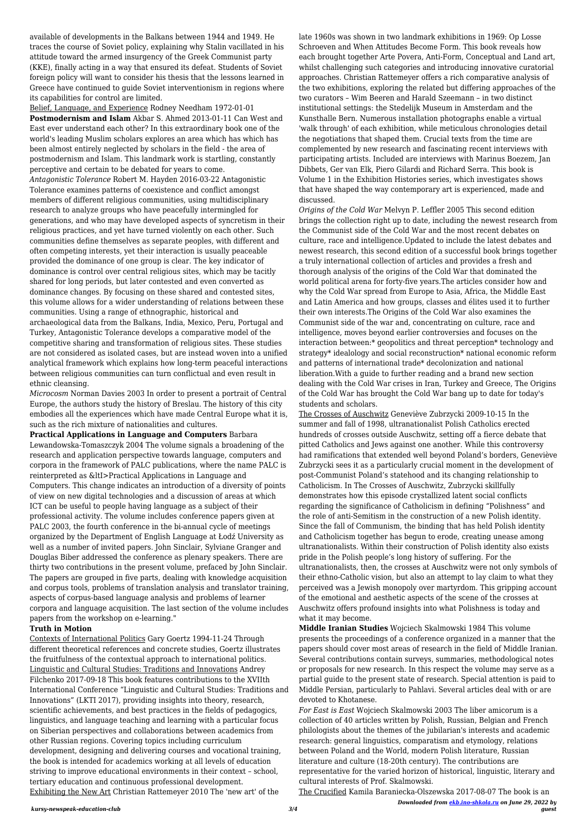*Downloaded from [ekb.ino-shkola.ru](http://ekb.ino-shkola.ru) on June 29, 2022 by guest*

available of developments in the Balkans between 1944 and 1949. He traces the course of Soviet policy, explaining why Stalin vacillated in his attitude toward the armed insurgency of the Greek Communist party (KKE), finally acting in a way that ensured its defeat. Students of Soviet foreign policy will want to consider his thesis that the lessons learned in Greece have continued to guide Soviet interventionism in regions where its capabilities for control are limited.

Belief, Language, and Experience Rodney Needham 1972-01-01 **Postmodernism and Islam** Akbar S. Ahmed 2013-01-11 Can West and East ever understand each other? In this extraordinary book one of the world's leading Muslim scholars explores an area which has which has been almost entirely neglected by scholars in the field - the area of postmodernism and Islam. This landmark work is startling, constantly perceptive and certain to be debated for years to come. *Antagonistic Tolerance* Robert M. Hayden 2016-03-22 Antagonistic Tolerance examines patterns of coexistence and conflict amongst members of different religious communities, using multidisciplinary research to analyze groups who have peacefully intermingled for generations, and who may have developed aspects of syncretism in their religious practices, and yet have turned violently on each other. Such communities define themselves as separate peoples, with different and

often competing interests, yet their interaction is usually peaceable provided the dominance of one group is clear. The key indicator of dominance is control over central religious sites, which may be tacitly shared for long periods, but later contested and even converted as dominance changes. By focusing on these shared and contested sites, this volume allows for a wider understanding of relations between these communities. Using a range of ethnographic, historical and archaeological data from the Balkans, India, Mexico, Peru, Portugal and Turkey, Antagonistic Tolerance develops a comparative model of the competitive sharing and transformation of religious sites. These studies are not considered as isolated cases, but are instead woven into a unified analytical framework which explains how long-term peaceful interactions between religious communities can turn conflictual and even result in ethnic cleansing.

*Microcosm* Norman Davies 2003 In order to present a portrait of Central Europe, the authors study the history of Breslau. The history of this city embodies all the experiences which have made Central Europe what it is, such as the rich mixture of nationalities and cultures.

**Practical Applications in Language and Computers** Barbara Lewandowska-Tomaszczyk 2004 The volume signals a broadening of the research and application perspective towards language, computers and corpora in the framework of PALC publications, where the name PALC is reinterpreted as &ItI>Practical Applications in Language and Computers. This change indicates an introduction of a diversity of points of view on new digital technologies and a discussion of areas at which ICT can be useful to people having language as a subject of their professional activity. The volume includes conference papers given at PALC 2003, the fourth conference in the bi-annual cycle of meetings organized by the Department of English Language at Łodź University as well as a number of invited papers. John Sinclair, Sylviane Granger and Douglas Biber addressed the conference as plenary speakers. There are thirty two contributions in the present volume, prefaced by John Sinclair. The papers are grouped in five parts, dealing with knowledge acquisition and corpus tools, problems of translation analysis and translator training, aspects of corpus-based language analysis and problems of learner corpora and language acquisition. The last section of the volume includes papers from the workshop on e-learning."

## **Truth in Motion**

Contexts of International Politics Gary Goertz 1994-11-24 Through different theoretical references and concrete studies, Goertz illustrates the fruitfulness of the contextual approach to international politics. Linguistic and Cultural Studies: Traditions and Innovations Andrey Filchenko 2017-09-18 This book features contributions to the XVIIth International Conference "Linguistic and Cultural Studies: Traditions and Innovations" (LKTI 2017), providing insights into theory, research, scientific achievements, and best practices in the fields of pedagogics, linguistics, and language teaching and learning with a particular focus on Siberian perspectives and collaborations between academics from other Russian regions. Covering topics including curriculum development, designing and delivering courses and vocational training, the book is intended for academics working at all levels of education striving to improve educational environments in their context – school, tertiary education and continuous professional development. Exhibiting the New Art Christian Rattemeyer 2010 The 'new art' of the

late 1960s was shown in two landmark exhibitions in 1969: Op Losse Schroeven and When Attitudes Become Form. This book reveals how each brought together Arte Povera, Anti-Form, Conceptual and Land art, whilst challenging such categories and introducing innovative curatorial approaches. Christian Rattemeyer offers a rich comparative analysis of the two exhibitions, exploring the related but differing approaches of the two curators – Wim Beeren and Harald Szeemann – in two distinct institutional settings: the Stedelijk Museum in Amsterdam and the Kunsthalle Bern. Numerous installation photographs enable a virtual 'walk through' of each exhibition, while meticulous chronologies detail the negotiations that shaped them. Crucial texts from the time are complemented by new research and fascinating recent interviews with participating artists. Included are interviews with Marinus Boezem, Jan Dibbets, Ger van Elk, Piero Gilardi and Richard Serra. This book is Volume 1 in the Exhibition Histories series, which investigates shows that have shaped the way contemporary art is experienced, made and discussed.

*Origins of the Cold War* Melvyn P. Leffler 2005 This second edition brings the collection right up to date, including the newest research from the Communist side of the Cold War and the most recent debates on culture, race and intelligence.Updated to include the latest debates and newest research, this second edition of a successful book brings together a truly international collection of articles and provides a fresh and thorough analysis of the origins of the Cold War that dominated the world political arena for forty-five years.The articles consider how and why the Cold War spread from Europe to Asia, Africa, the Middle East and Latin America and how groups, classes and élites used it to further their own interests.The Origins of the Cold War also examines the Communist side of the war and, concentrating on culture, race and intelligence, moves beyond earlier controversies and focuses on the interaction between:\* geopolitics and threat perception\* technology and strategy\* idealology and social reconstruction\* national economic reform and patterns of international trade\* decolonization and national liberation.With a guide to further reading and a brand new section dealing with the Cold War crises in Iran, Turkey and Greece, The Origins of the Cold War has brought the Cold War bang up to date for today's students and scholars.

The Crosses of Auschwitz Geneviève Zubrzycki 2009-10-15 In the summer and fall of 1998, ultranationalist Polish Catholics erected hundreds of crosses outside Auschwitz, setting off a fierce debate that pitted Catholics and Jews against one another. While this controversy had ramifications that extended well beyond Poland's borders, Geneviève Zubrzycki sees it as a particularly crucial moment in the development of post-Communist Poland's statehood and its changing relationship to Catholicism. In The Crosses of Auschwitz, Zubrzycki skillfully demonstrates how this episode crystallized latent social conflicts regarding the significance of Catholicism in defining "Polishness" and the role of anti-Semitism in the construction of a new Polish identity. Since the fall of Communism, the binding that has held Polish identity and Catholicism together has begun to erode, creating unease among ultranationalists. Within their construction of Polish identity also exists pride in the Polish people's long history of suffering. For the ultranationalists, then, the crosses at Auschwitz were not only symbols of their ethno-Catholic vision, but also an attempt to lay claim to what they perceived was a Jewish monopoly over martyrdom. This gripping account of the emotional and aesthetic aspects of the scene of the crosses at Auschwitz offers profound insights into what Polishness is today and what it may become.

**Middle Iranian Studies** Wojciech Skalmowski 1984 This volume presents the proceedings of a conference organized in a manner that the papers should cover most areas of research in the field of Middle Iranian. Several contributions contain surveys, summaries, methodological notes or proposals for new research. In this respect the volume may serve as a partial guide to the present state of research. Special attention is paid to Middle Persian, particularly to Pahlavi. Several articles deal with or are devoted to Khotanese. *For East is East* Wojciech Skalmowski 2003 The liber amicorum is a collection of 40 articles written by Polish, Russian, Belgian and French philologists about the themes of the jubilarian's interests and academic research: general linguistics, comparatism and etymology, relations between Poland and the World, modern Polish literature, Russian literature and culture (18-20th century). The contributions are representative for the varied horizon of historical, linguistic, literary and cultural interests of Prof. Skalmowski.

The Crucified Kamila Baraniecka-Olszewska 2017-08-07 The book is an